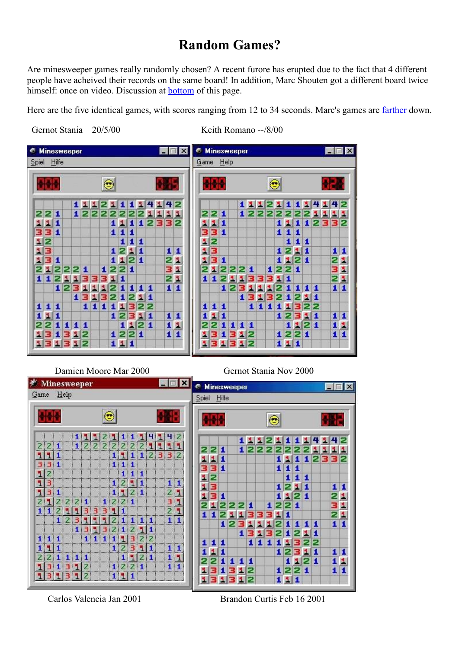## **Random Games?**

<span id="page-0-1"></span>Are minesweeper games really randomly chosen? A recent furore has erupted due to the fact that 4 different people have acheived their records on the same board! In addition, Marc Shouten got a different board twice himself: once on video. Discussion at [bottom](#page-2-0) of this page.

Here are the five identical games, with scores ranging from 12 to 34 seconds. Marc's games are [farther](#page-1-0) down.

<span id="page-0-0"></span>Gernot Stania 20/5/00 Keith Romano --/8/00



## Damien Moore Mar 2000 Gernot Stania Nov 2000



Carlos Valencia Jan 2001 Brandon Curtis Feb 16 2001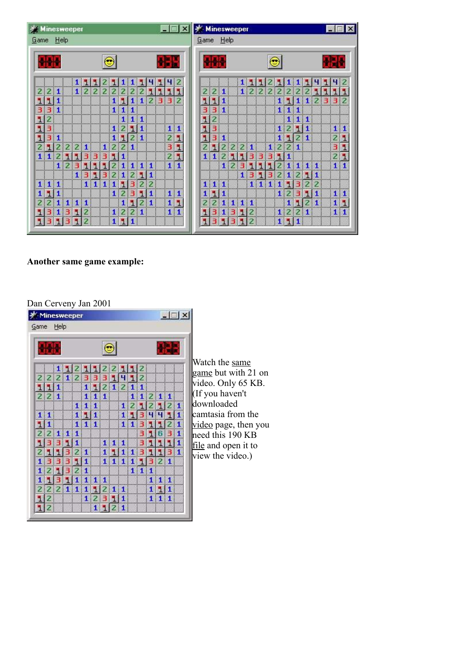|                |                                                             | ※ Minesweeper                                                                      |                      |                                                                                                                                |         |                    |                                                                                |                                                                                       |                                                                                                                           |                                                                                         |                   |                   | $ \Box$ $\times$ |                                                                                                                    | <b>Minesweeper</b> |        |                                                             |                                                                                                                                           |                |   |                                                                                    |                                                    |                                          |                                                               |                                                                          |                                                                                                                                                             |                                                                                                                     |               |                | $ \Box$ $\times$                                                                     |
|----------------|-------------------------------------------------------------|------------------------------------------------------------------------------------|----------------------|--------------------------------------------------------------------------------------------------------------------------------|---------|--------------------|--------------------------------------------------------------------------------|---------------------------------------------------------------------------------------|---------------------------------------------------------------------------------------------------------------------------|-----------------------------------------------------------------------------------------|-------------------|-------------------|------------------|--------------------------------------------------------------------------------------------------------------------|--------------------|--------|-------------------------------------------------------------|-------------------------------------------------------------------------------------------------------------------------------------------|----------------|---|------------------------------------------------------------------------------------|----------------------------------------------------|------------------------------------------|---------------------------------------------------------------|--------------------------------------------------------------------------|-------------------------------------------------------------------------------------------------------------------------------------------------------------|---------------------------------------------------------------------------------------------------------------------|---------------|----------------|--------------------------------------------------------------------------------------|
|                |                                                             |                                                                                    |                      |                                                                                                                                |         |                    |                                                                                |                                                                                       |                                                                                                                           |                                                                                         |                   |                   |                  |                                                                                                                    |                    |        |                                                             |                                                                                                                                           |                |   |                                                                                    |                                                    |                                          |                                                               |                                                                          |                                                                                                                                                             |                                                                                                                     |               |                |                                                                                      |
|                |                                                             |                                                                                    |                      |                                                                                                                                |         |                    |                                                                                |                                                                                       |                                                                                                                           |                                                                                         |                   |                   |                  |                                                                                                                    |                    |        |                                                             |                                                                                                                                           |                |   |                                                                                    |                                                    |                                          |                                                               |                                                                          |                                                                                                                                                             |                                                                                                                     |               |                |                                                                                      |
|                |                                                             |                                                                                    |                      |                                                                                                                                |         |                    |                                                                                |                                                                                       |                                                                                                                           |                                                                                         |                   |                   |                  |                                                                                                                    |                    |        |                                                             |                                                                                                                                           |                |   |                                                                                    |                                                    |                                          |                                                               |                                                                          |                                                                                                                                                             |                                                                                                                     |               |                |                                                                                      |
|                |                                                             |                                                                                    |                      |                                                                                                                                |         |                    |                                                                                |                                                                                       |                                                                                                                           |                                                                                         |                   |                   |                  |                                                                                                                    |                    |        |                                                             |                                                                                                                                           |                |   |                                                                                    |                                                    |                                          |                                                               |                                                                          |                                                                                                                                                             |                                                                                                                     |               |                |                                                                                      |
|                |                                                             |                                                                                    |                      |                                                                                                                                |         |                    |                                                                                |                                                                                       |                                                                                                                           |                                                                                         |                   |                   |                  |                                                                                                                    |                    |        |                                                             |                                                                                                                                           |                |   |                                                                                    |                                                    |                                          |                                                               |                                                                          |                                                                                                                                                             |                                                                                                                     |               |                | $\overline{2}$                                                                       |
|                |                                                             |                                                                                    |                      |                                                                                                                                |         |                    |                                                                                |                                                                                       |                                                                                                                           |                                                                                         |                   |                   |                  |                                                                                                                    |                    |        |                                                             |                                                                                                                                           |                |   |                                                                                    |                                                    |                                          |                                                               |                                                                          |                                                                                                                                                             |                                                                                                                     |               |                | я                                                                                    |
|                |                                                             |                                                                                    |                      |                                                                                                                                |         |                    |                                                                                |                                                                                       |                                                                                                                           |                                                                                         |                   |                   |                  |                                                                                                                    |                    |        |                                                             |                                                                                                                                           |                |   |                                                                                    |                                                    |                                          |                                                               |                                                                          |                                                                                                                                                             |                                                                                                                     |               |                |                                                                                      |
|                |                                                             |                                                                                    |                      |                                                                                                                                |         |                    |                                                                                |                                                                                       |                                                                                                                           |                                                                                         |                   |                   |                  |                                                                                                                    |                    |        |                                                             |                                                                                                                                           |                |   |                                                                                    |                                                    |                                          |                                                               |                                                                          |                                                                                                                                                             |                                                                                                                     |               |                |                                                                                      |
| $\overline{z}$ |                                                             |                                                                                    |                      |                                                                                                                                |         |                    |                                                                                |                                                                                       |                                                                                                                           |                                                                                         |                   |                   |                  |                                                                                                                    |                    |        |                                                             |                                                                                                                                           |                |   |                                                                                    |                                                    |                                          |                                                               |                                                                          |                                                                                                                                                             |                                                                                                                     |               |                |                                                                                      |
| 3.             |                                                             |                                                                                    |                      |                                                                                                                                |         |                    |                                                                                |                                                                                       |                                                                                                                           |                                                                                         |                   |                   |                  |                                                                                                                    |                    |        |                                                             |                                                                                                                                           |                |   |                                                                                    |                                                    |                                          |                                                               |                                                                          |                                                                                                                                                             |                                                                                                                     |               |                | 1 1                                                                                  |
|                |                                                             |                                                                                    |                      |                                                                                                                                |         |                    |                                                                                |                                                                                       |                                                                                                                           |                                                                                         |                   |                   | ٦                |                                                                                                                    |                    |        |                                                             |                                                                                                                                           |                |   |                                                                                    |                                                    |                                          |                                                               |                                                                          |                                                                                                                                                             |                                                                                                                     |               | $\overline{2}$ | ٦                                                                                    |
| 2 1            |                                                             |                                                                                    | $\mathbf{1}$         |                                                                                                                                |         |                    |                                                                                |                                                                                       |                                                                                                                           |                                                                                         |                   |                   | ٦                |                                                                                                                    |                    |        |                                                             |                                                                                                                                           |                |   |                                                                                    |                                                    |                                          |                                                               |                                                                          |                                                                                                                                                             |                                                                                                                     |               |                | ٦                                                                                    |
|                |                                                             |                                                                                    |                      |                                                                                                                                |         |                    |                                                                                |                                                                                       |                                                                                                                           |                                                                                         |                   |                   |                  |                                                                                                                    |                    |        |                                                             |                                                                                                                                           |                |   |                                                                                    |                                                    |                                          |                                                               |                                                                          |                                                                                                                                                             |                                                                                                                     |               | $\overline{c}$ | ٦                                                                                    |
|                |                                                             |                                                                                    | ы                    |                                                                                                                                | п       |                    |                                                                                |                                                                                       |                                                                                                                           |                                                                                         |                   |                   |                  |                                                                                                                    |                    |        |                                                             |                                                                                                                                           |                |   |                                                                                    |                                                    |                                          |                                                               |                                                                          |                                                                                                                                                             |                                                                                                                     |               |                | $\mathbf{1}$                                                                         |
|                |                                                             |                                                                                    |                      |                                                                                                                                | з       |                    |                                                                                |                                                                                       |                                                                                                                           | $\mathbf{1}$                                                                            |                   |                   |                  |                                                                                                                    |                    |        |                                                             |                                                                                                                                           |                |   |                                                                                    |                                                    |                                          |                                                               |                                                                          | Ы                                                                                                                                                           | $\mathbf{1}$                                                                                                        |               |                |                                                                                      |
|                |                                                             |                                                                                    |                      |                                                                                                                                |         |                    |                                                                                |                                                                                       | 2                                                                                                                         | 2                                                                                       |                   |                   |                  |                                                                                                                    |                    |        |                                                             |                                                                                                                                           |                |   |                                                                                    |                                                    |                                          |                                                               |                                                                          | $\overline{z}$                                                                                                                                              | 2                                                                                                                   |               |                |                                                                                      |
|                |                                                             |                                                                                    |                      |                                                                                                                                |         |                    |                                                                                |                                                                                       |                                                                                                                           | $\mathbf{1}$                                                                            |                   |                   |                  |                                                                                                                    |                    |        |                                                             |                                                                                                                                           |                |   |                                                                                    |                                                    |                                          |                                                               |                                                                          |                                                                                                                                                             | 1                                                                                                                   |               |                |                                                                                      |
|                |                                                             |                                                                                    | $\mathbf{1}$         |                                                                                                                                |         |                    |                                                                                | ы                                                                                     | $\overline{2}$                                                                                                            | 1                                                                                       |                   |                   | ٦                |                                                                                                                    |                    |        |                                                             |                                                                                                                                           |                |   |                                                                                    |                                                    |                                          |                                                               | н                                                                        | $\overline{2}$                                                                                                                                              |                                                                                                                     |               |                | ٦                                                                                    |
| 3.             |                                                             |                                                                                    |                      |                                                                                                                                |         |                    |                                                                                |                                                                                       |                                                                                                                           |                                                                                         |                   |                   | $\mathbf{1}$     |                                                                                                                    | 1                  |        |                                                             |                                                                                                                                           |                | 2 |                                                                                    |                                                    |                                          |                                                               |                                                                          |                                                                                                                                                             |                                                                                                                     |               |                | $\mathbf{1}$                                                                         |
|                |                                                             |                                                                                    |                      |                                                                                                                                |         |                    |                                                                                |                                                                                       |                                                                                                                           |                                                                                         |                   |                   |                  |                                                                                                                    |                    |        |                                                             |                                                                                                                                           |                |   |                                                                                    |                                                    |                                          |                                                               |                                                                          |                                                                                                                                                             |                                                                                                                     |               |                |                                                                                      |
|                | 小村<br>2 2 1<br>11<br>3 1<br>$1 \vert 1 \vert 1$<br>11<br>3. | Game Help<br>3311<br>1 1 2<br>$\mathbf{1}$<br>2 1 <br>$\mathbf{1}$<br>$\mathbf{I}$ | 1 <sup>1</sup><br>3. | $\mathbf{1}$<br>2 2 2 <br>1 1 <br>23<br>$\mathbf{1}$<br>$\mathbf{1}$<br>$\overline{z}$<br>31<br>$\mathbf{I}$<br>$\overline{z}$ | ы<br>3. | ы<br>ш<br>ч<br>1 1 | ۳<br>$\mathbf{Z}$<br>$1 \, 2 \, 2 \, 2$<br>$\mathbf{1}$<br>333<br>$\mathbf{1}$ | ш<br>2!<br>11<br>21<br>$\mathbf{1}$<br>1 <sup>1</sup><br>$\mathbf{1}$<br>$\mathbf{1}$ | 1 1 <br>$\mathbf{1}$<br>$1 \mid 1 \mid 1$<br>111<br>1 2 <br>2 2 1<br>$\mathbf{1}$<br>51<br>2!<br>$\mathbf{1}$<br>2!<br>11 | $\mathbf{1}$<br>$\mathbf{1}$<br>11<br>1121<br>2 1 1 1<br>$\mathbf{Z}$<br>3.<br>Э<br>2 1 | 1 1 1 <br> 1<br>Ы | ч<br>2 2 2 1<br>÷ |                  | t F<br>142<br>111<br>2332<br>$1 \vert 1$<br>$\mathbf{Z}$<br>3.<br>21<br>1 1<br>1 1<br>$\mathbf{1}$<br>$\mathbf{1}$ |                    | ī<br>1 | $\blacksquare$<br>п<br>2 <sup>1</sup><br>$\frac{1}{2}$<br>П | 外外<br>2 2 1<br>$\mathbf{1}$ 1<br>331<br>$\begin{array}{c} 2 \\ 3 \end{array}$<br>3 1<br>$\left(1\right)$<br>$1 \mid 1 \mid 1$<br>11<br>Э. | Game Help<br>1 |   | 11211<br>$1 \overline{2}$ $\overline{3}$<br>$\mathbf{1}$<br>2 1 1 1<br>31<br>31312 | 11<br>đ<br>2 2 2 1 <br>Э<br>ы<br>Э<br>$\mathbf{1}$ | ы<br>Æ<br>з.<br>ы<br>П<br>1 <sup>1</sup> | $\odot$<br>S)<br>$\mathbf{1}$<br>э<br>ы<br>з.<br>$\mathbf{1}$ | 11<br>21<br>$\mathbf{1}$<br>$\mathbf{1}$<br>$\mathbf{1}$<br>$\mathbf{1}$ | $1 \, 2 \, 2 \, 2 \, 2 \, 2$<br>1 1 <br>$1 \vert 1 \vert 1$<br>1 2 <br>2 2 1<br>$\mathbf{1}$<br>51<br>21<br>$\mathbf{1}$<br>$\mathsf{Z}^{\mathsf{l}}$<br>11 | 1 1 1<br>$\mathsf{Z}^{\mathsf{l}}$<br>1 1<br>$1 \ 1 \ 1$<br>11<br>1121<br>2 1 1 1<br>$\mathbf{Z}$<br>Э.<br>Э<br>2 1 | Ы<br>  1<br>1 | ч              | 州村<br>4<br>ы<br>2111<br>3.<br>$\vert 1 \vert$<br>1 1<br>$\mathbf{1}$<br>$\mathbf{1}$ |

## **Another same game example:**

<span id="page-1-0"></span>

| Game Help<br>2 2 2 1 2<br>1121211<br>111<br>$\vert 1 \vert 1 \vert 1$<br>$\vert$ $\vert$ 1 1 2<br>2 2 1<br>111<br>$111$ $121$<br>1111111<br>1 1 <br>$1111$ 11<br>111<br>$\begin{array}{ c c c }\n\hline\n1 & 1 & 1\n\end{array}$<br>1<br>111<br>$\mathbf{1}$<br>$2 1 $ $1 1 1$<br>1 1 1 1 1 1<br>211<br>1 1 1<br>1<br>$11$ $1$<br>$\frac{1111}{11211}$ $\frac{111}{11}$<br>$1 \vert 1 \vert 1$<br>1 | $ \Box$ $\times$ |
|-----------------------------------------------------------------------------------------------------------------------------------------------------------------------------------------------------------------------------------------------------------------------------------------------------------------------------------------------------------------------------------------------------|------------------|
|                                                                                                                                                                                                                                                                                                                                                                                                     |                  |
|                                                                                                                                                                                                                                                                                                                                                                                                     |                  |
|                                                                                                                                                                                                                                                                                                                                                                                                     |                  |
|                                                                                                                                                                                                                                                                                                                                                                                                     |                  |
|                                                                                                                                                                                                                                                                                                                                                                                                     |                  |
|                                                                                                                                                                                                                                                                                                                                                                                                     |                  |
|                                                                                                                                                                                                                                                                                                                                                                                                     |                  |
|                                                                                                                                                                                                                                                                                                                                                                                                     | 1.               |
|                                                                                                                                                                                                                                                                                                                                                                                                     | 1                |
|                                                                                                                                                                                                                                                                                                                                                                                                     |                  |
|                                                                                                                                                                                                                                                                                                                                                                                                     |                  |
|                                                                                                                                                                                                                                                                                                                                                                                                     |                  |
|                                                                                                                                                                                                                                                                                                                                                                                                     | п                |
|                                                                                                                                                                                                                                                                                                                                                                                                     |                  |
|                                                                                                                                                                                                                                                                                                                                                                                                     |                  |
|                                                                                                                                                                                                                                                                                                                                                                                                     |                  |
| 1                                                                                                                                                                                                                                                                                                                                                                                                   |                  |
| $11$ $11$<br> 1 2 3                                                                                                                                                                                                                                                                                                                                                                                 |                  |

Watch the same game but with 21 on  $\overline{v}$ ideo. Only 65 KB. If you haven't lownloaded camtasia from the video page, then you need this 190 KB file and open it to view the video.)